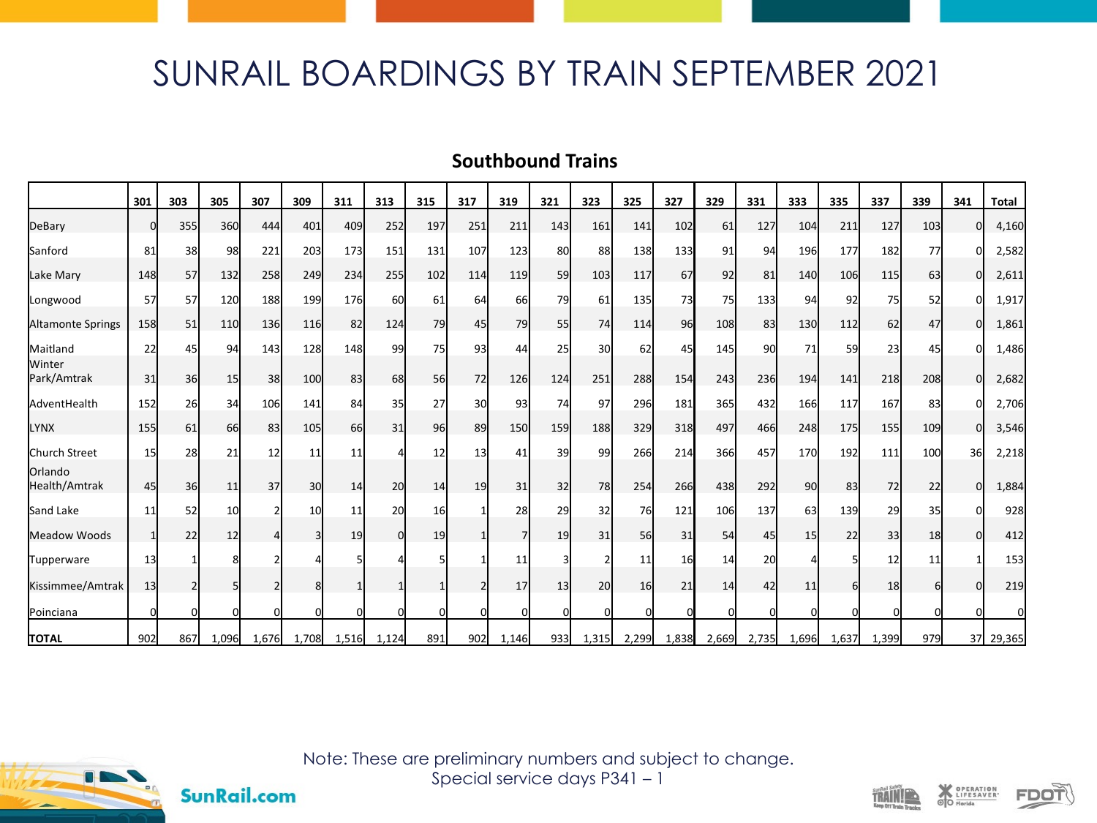## SUNRAIL BOARDINGS BY TRAIN SEPTEMBER 2021

## **Southbound Trains**

|                          | 301      | 303 | 305             | 307      | 309   | 311   | 313   | 315       | 317      | 319            | 321      | 323      | 325      | 327   | 329   | 331        | 333      | 335   | 337   | 339 | 341 | <b>Total</b> |
|--------------------------|----------|-----|-----------------|----------|-------|-------|-------|-----------|----------|----------------|----------|----------|----------|-------|-------|------------|----------|-------|-------|-----|-----|--------------|
| DeBary                   | n        | 355 | <b>360</b>      | 444      | 401   | 409   | 252   | 197       | 251      | 211            | 143      | 161      | 141      | 102   | 61    | 127        | 104      | 211   | 127   | 103 | n   | 4,160        |
| Sanford                  | 81       | 38  | 98              | 221      | 203   | 173   | 151   | 131       | 107      | 123            | 80       | 88       | 138      | 133   | 91    | 94         | 196      | 177   | 182   | 77  |     | 2,582        |
| Lake Mary                | 148      | 57  | 132             | 258      | 249   | 234   | 255   | 102       | 114      | 119            | 59       | 103      | 117      | 67    | 92    | 81         | 140      | 106   | 115   | 63  | ΩI  | 2,611        |
| Longwood                 | 57       | 57  | 120             | 188      | 199   | 176   | 60    | 61        | 64       | 66             | 79       | 61       | 135      | 73    | 75    | <b>133</b> | 94       | 92    | 75    | 52  | n   | 1,917        |
| Altamonte Springs        | 158      | 51  | <b>110</b>      | 136      | 116   | 82    | 124   | 79        | 45       | 79             | 55       | 74       | 114      | 96    | 108   | 83         | 130      | 112   | 62    | 47  | ΩI  | 1,861        |
| Maitland                 | 22       | 45  | 94              | 143      | 128   | 148   | 99    | <b>75</b> | 93       | 44             | 25       | 30       | 62       | 45    | 145   | 90l        | 71       | 59    | 23    | 45  |     | 1,486        |
| Winter<br>Park/Amtrak    | 31       | 36  | 15              | 38       | 100   | 83    | 68    | 56        | 72       | 126            | 124      | 251      | 288      | 154   | 243   | 236        | 194      | 141   | 218   | 208 | U   | 2,682        |
| AdventHealth             | 152      | 26  | 34              | 106      | 141   | 84    | 35    | 27        | 30       | 93             | 74       | 97       | 296      | 181   | 365   | 432        | 166      | 117   | 167   | 83  |     | 2,706        |
| <b>LYNX</b>              | 155      | 61  | 66              | 83       | 105   | 66    | 31    | 96        | 89       | 150            | 159      | 188      | 329      | 318   | 497   | 466        | 248      | 175   | 155   | 109 | O   | 3,546        |
| Church Street            | 15       | 28  | 21              | 12       | 11    | 11    |       | 12        | 13       | 41             | 39       | 99       | 266      | 214   | 366   | 457        | 170      | 192   | 111   | 100 | 36  | 2,218        |
| Orlando<br>Health/Amtrak | 45       | 36  | 11              | 37       | 30    | 14    | 20    | 14        | 19       | 31             | 32       | 78       | 254      | 266   | 438   | 292        | 90       | 83    | 72    | 22  | ŋ   | 1,884        |
| Sand Lake                | 11       | 52  | 10 <sup>1</sup> |          | 10    | 11    | 20    | 16        |          | 28             | 29       | 32       | 76       | 121   | 106   | 137        | 63       | 139   | 29    | 35  |     | 928          |
| Meadow Woods             |          | 22  | 12              |          | 3     | 19    | U     | 19        |          | $\overline{7}$ | 19       | 31       | 56       | 31    | 54    | 45         | 15       | 22    | 33    | 18  | n   | 412          |
| Tupperware               | 13       |     |                 |          |       |       |       |           |          | 11             |          |          | 11       | 16    | 14    | 20         |          |       | 12    | 11  |     | 153          |
| Kissimmee/Amtrak         | 13       |     | 5               |          |       |       |       |           |          | 17             | 13       | 20       | 16       | 21    | 14    | 42         | 11       | 6     | 18    |     |     | 219          |
| Poinciana                | $\Omega$ |     | οl              | $\Omega$ |       |       |       | O         | $\Omega$ | O              | $\Omega$ | $\Omega$ | $\Omega$ |       |       | $\Omega$   | $\Omega$ |       |       |     |     |              |
| <b>TOTAL</b>             | 902      | 867 | 1,096           | 1,676    | 1,708 | 1,516 | 1,124 | 891       | 902      | 1,146          | 933      | 1,315    | 2,299    | 1,838 | 2,669 | 2,735      | 1,696    | 1,637 | 1,399 | 979 |     | 37 29,365    |



**SunRail.com** 

Note: These are preliminary numbers and subject to change. Special service days P341 – 1